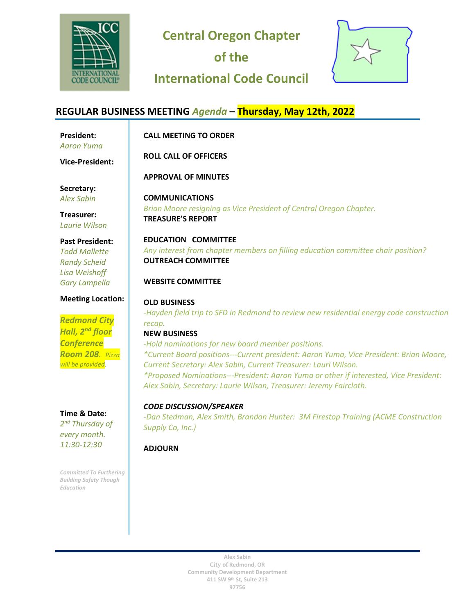

**Central Oregon Chapter** 

**of the** 

# **International Code Council**



#### **REGULAR BUSINESS MEETING** *Agenda* **– Thursday, May 12th, 2022 President:**  *Aaron Yuma* **CALL MEETING TO ORDER ROLL CALL OF OFFICERS APPROVAL OF MINUTES COMMUNICATIONS**  *Brian Moore resigning as Vice President of Central Oregon Chapter.*  **TREASURE'S REPORT EDUCATION COMMITTEE**  *Any interest from chapter members on filling education committee chair position?*  **OUTREACH COMMITTEE WEBSITE COMMITTEE OLD BUSINESS**  *-Hayden field trip to SFD in Redmond to review new residential energy code construction recap.*  **NEW BUSINESS**  *-Hold nominations for new board member positions. \*Current Board positions---Current president: Aaron Yuma, Vice President: Brian Moore, Current Secretary: Alex Sabin, Current Treasurer: Lauri Wilson. \*Proposed Nominations---President: Aaron Yuma or other if interested, Vice President: Alex Sabin, Secretary: Laurie Wilson, Treasurer: Jeremy Faircloth. CODE DISCUSSION/SPEAKER -Dan Stedman, Alex Smith, Brandon Hunter: 3M Firestop Training (ACME Construction Supply Co, Inc.)*  **Vice-President: Secretary:** *Alex Sabin* **Treasurer:** *Laurie Wilson* **Past President:** *Todd Mallette Randy Scheid Lisa Weishoff Gary Lampella* **Meeting Location:** *Redmond City Hall, 2nd floor Conference Room 208. Pizza will be provided.* **Time & Date:** *2 nd Thursday of every month. 11:30-12:30*

### **ADJOURN**

*Committed To Furthering Building Safety Though* 

*Education*

**Alex Sabin City of Redmond, OR Community Development Department 411 SW 9th St, Suite 213 97756**